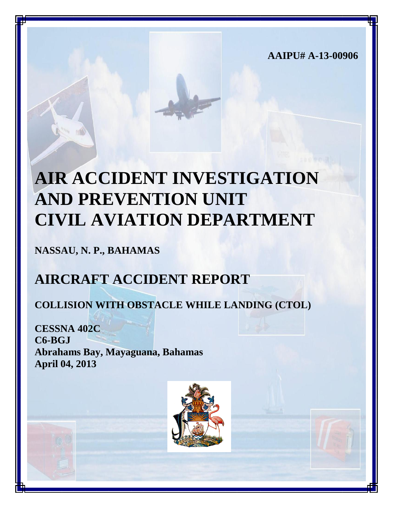**AAIPU# A-13-00906**

# **AIR ACCIDENT INVESTIGATION AND PREVENTION UNIT CIVIL AVIATION DEPARTMENT**

**NASSAU, N. P., BAHAMAS**

## **AIRCRAFT ACCIDENT REPORT**

## **COLLISION WITH OBSTACLE WHILE LANDING (CTOL)**

**CESSNA 402C C6-BGJ Abrahams Bay, Mayaguana, Bahamas April 04, 2013**

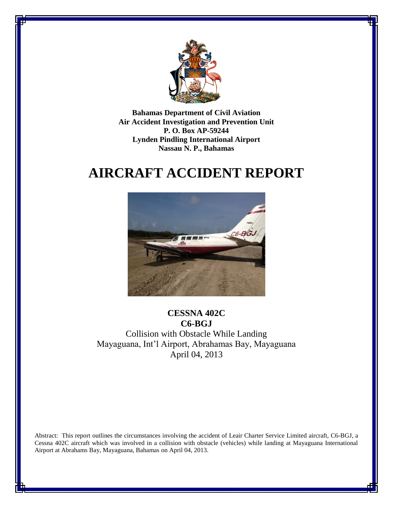

**Bahamas Department of Civil Aviation Air Accident Investigation and Prevention Unit P. O. Box AP-59244 Lynden Pindling International Airport Nassau N. P., Bahamas**

## **AIRCRAFT ACCIDENT REPORT**



**CESSNA 402C C6-BGJ** Collision with Obstacle While Landing Mayaguana, Int'l Airport, Abrahamas Bay, Mayaguana April 04, 2013

Abstract: This report outlines the circumstances involving the accident of Leair Charter Service Limited aircraft, C6-BGJ, a Cessna 402C aircraft which was involved in a collision with obstacle (vehicles) while landing at Mayaguana International Airport at Abrahams Bay, Mayaguana, Bahamas on April 04, 2013.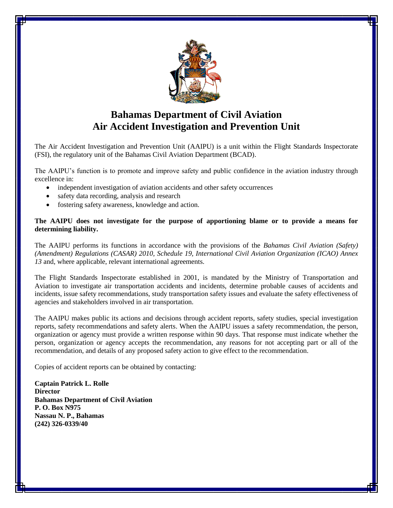

## **Bahamas Department of Civil Aviation Air Accident Investigation and Prevention Unit**

The Air Accident Investigation and Prevention Unit (AAIPU) is a unit within the Flight Standards Inspectorate (FSI), the regulatory unit of the Bahamas Civil Aviation Department (BCAD).

The AAIPU's function is to promote and improve safety and public confidence in the aviation industry through excellence in:

- independent investigation of aviation accidents and other safety occurrences
- safety data recording, analysis and research
- fostering safety awareness, knowledge and action.

#### **The AAIPU does not investigate for the purpose of apportioning blame or to provide a means for determining liability.**

The AAIPU performs its functions in accordance with the provisions of the *Bahamas Civil Aviation (Safety) (Amendment) Regulations (CASAR) 2010, Schedule 19, International Civil Aviation Organization (ICAO) Annex 13* and, where applicable, relevant international agreements.

The Flight Standards Inspectorate established in 2001, is mandated by the Ministry of Transportation and Aviation to investigate air transportation accidents and incidents, determine probable causes of accidents and incidents, issue safety recommendations, study transportation safety issues and evaluate the safety effectiveness of agencies and stakeholders involved in air transportation.

The AAIPU makes public its actions and decisions through accident reports, safety studies, special investigation reports, safety recommendations and safety alerts. When the AAIPU issues a safety recommendation, the person, organization or agency must provide a written response within 90 days. That response must indicate whether the person, organization or agency accepts the recommendation, any reasons for not accepting part or all of the recommendation, and details of any proposed safety action to give effect to the recommendation.

Copies of accident reports can be obtained by contacting:

**Captain Patrick L. Rolle Director Bahamas Department of Civil Aviation P. O. Box N975 Nassau N. P., Bahamas (242) 326-0339/40**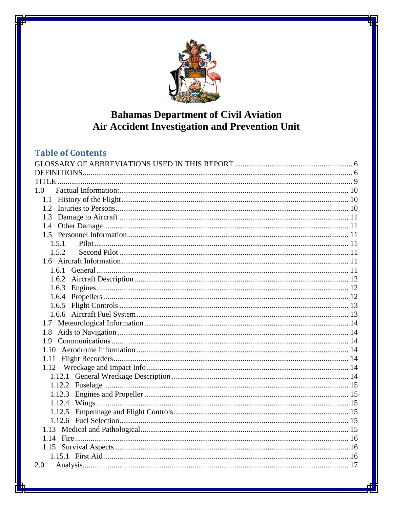

## **Bahamas Department of Civil Aviation** Air Accident Investigation and Prevention Unit

## **Table of Contents**

| 1.0    |  |
|--------|--|
|        |  |
| 1.2    |  |
| 1.3    |  |
| 1.4    |  |
|        |  |
| 1.5.1  |  |
| 1.5.2  |  |
|        |  |
|        |  |
|        |  |
| 1.6.3  |  |
|        |  |
|        |  |
|        |  |
|        |  |
|        |  |
|        |  |
|        |  |
|        |  |
|        |  |
|        |  |
|        |  |
| 1.12.3 |  |
|        |  |
|        |  |
|        |  |
|        |  |
|        |  |
|        |  |
|        |  |
| 2.0    |  |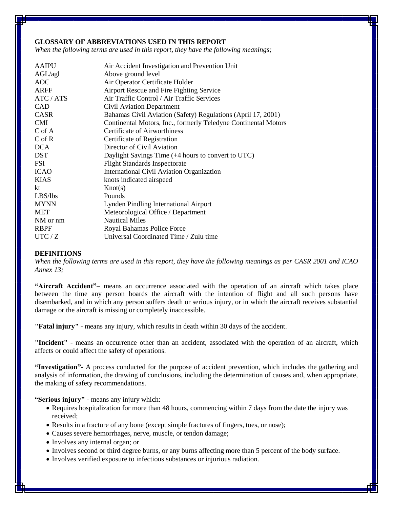#### <span id="page-5-0"></span>**GLOSSARY OF ABBREVIATIONS USED IN THIS REPORT**

*When the following terms are used in this report, they have the following meanings;*

| <b>AAIPU</b>  | Air Accident Investigation and Prevention Unit                 |
|---------------|----------------------------------------------------------------|
| AGL/agl       | Above ground level                                             |
| <b>AOC</b>    | Air Operator Certificate Holder                                |
| <b>ARFF</b>   | Airport Rescue and Fire Fighting Service                       |
| ATC / ATS     | Air Traffic Control / Air Traffic Services                     |
| <b>CAD</b>    | Civil Aviation Department                                      |
| <b>CASR</b>   | Bahamas Civil Aviation (Safety) Regulations (April 17, 2001)   |
| <b>CMI</b>    | Continental Motors, Inc., formerly Teledyne Continental Motors |
| $C \circ f A$ | Certificate of Airworthiness                                   |
| $C$ of $R$    | Certificate of Registration                                    |
| <b>DCA</b>    | Director of Civil Aviation                                     |
| <b>DST</b>    | Daylight Savings Time (+4 hours to convert to UTC)             |
| <b>FSI</b>    | <b>Flight Standards Inspectorate</b>                           |
| <b>ICAO</b>   | International Civil Aviation Organization                      |
| <b>KIAS</b>   | knots indicated airspeed                                       |
| kt            | Knot(s)                                                        |
| LBS/lbs       | Pounds                                                         |
| <b>MYNN</b>   | <b>Lynden Pindling International Airport</b>                   |
| <b>MET</b>    | Meteorological Office / Department                             |
| NM or nm      | <b>Nautical Miles</b>                                          |
| <b>RBPF</b>   | Royal Bahamas Police Force                                     |
| UTC / Z       | Universal Coordinated Time / Zulu time                         |

#### <span id="page-5-1"></span>**DEFINITIONS**

*When the following terms are used in this report, they have the following meanings as per CASR 2001 and ICAO Annex 13;*

**"Aircraft Accident"–** means an occurrence associated with the operation of an aircraft which takes place between the time any person boards the aircraft with the intention of flight and all such persons have disembarked, and in which any person suffers death or serious injury, or in which the aircraft receives substantial damage or the aircraft is missing or completely inaccessible.

**"Fatal injury"** - means any injury, which results in death within 30 days of the accident.

**"Incident"** - means an occurrence other than an accident, associated with the operation of an aircraft, which affects or could affect the safety of operations.

**"Investigation"-** A process conducted for the purpose of accident prevention, which includes the gathering and analysis of information, the drawing of conclusions, including the determination of causes and, when appropriate, the making of safety recommendations.

**"Serious injury"** - means any injury which:

- Requires hospitalization for more than 48 hours, commencing within 7 days from the date the injury was received;
- Results in a fracture of any bone (except simple fractures of fingers, toes, or nose);
- Causes severe hemorrhages, nerve, muscle, or tendon damage;
- Involves any internal organ; or
- Involves second or third degree burns, or any burns affecting more than 5 percent of the body surface.
- Involves verified exposure to infectious substances or injurious radiation.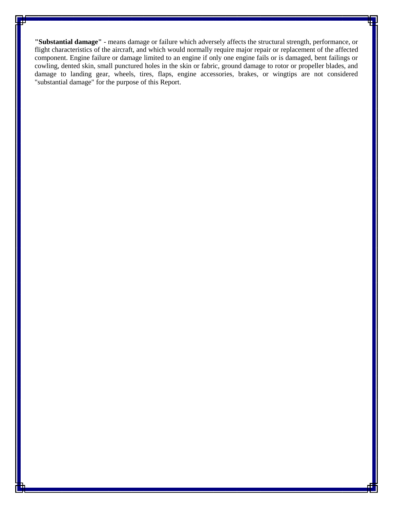**"Substantial damage"** - means damage or failure which adversely affects the structural strength, performance, or flight characteristics of the aircraft, and which would normally require major repair or replacement of the affected component. Engine failure or damage limited to an engine if only one engine fails or is damaged, bent failings or cowling, dented skin, small punctured holes in the skin or fabric, ground damage to rotor or propeller blades, and damage to landing gear, wheels, tires, flaps, engine accessories, brakes, or wingtips are not considered "substantial damage" for the purpose of this Report.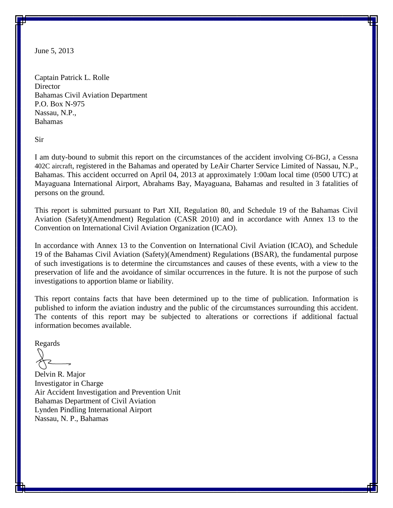June 5, 2013

Captain Patrick L. Rolle **Director** Bahamas Civil Aviation Department P.O. Box N-975 Nassau, N.P., Bahamas

Sir

I am duty-bound to submit this report on the circumstances of the accident involving C6-BGJ, a Cessna 402C aircraft, registered in the Bahamas and operated by LeAir Charter Service Limited of Nassau, N.P., Bahamas. This accident occurred on April 04, 2013 at approximately 1:00am local time (0500 UTC) at Mayaguana International Airport, Abrahams Bay, Mayaguana, Bahamas and resulted in 3 fatalities of persons on the ground.

This report is submitted pursuant to Part XII, Regulation 80, and Schedule 19 of the Bahamas Civil Aviation (Safety)(Amendment) Regulation (CASR 2010) and in accordance with Annex 13 to the Convention on International Civil Aviation Organization (ICAO).

In accordance with Annex 13 to the Convention on International Civil Aviation (ICAO), and Schedule 19 of the Bahamas Civil Aviation (Safety)(Amendment) Regulations (BSAR), the fundamental purpose of such investigations is to determine the circumstances and causes of these events, with a view to the preservation of life and the avoidance of similar occurrences in the future. It is not the purpose of such investigations to apportion blame or liability.

This report contains facts that have been determined up to the time of publication. Information is published to inform the aviation industry and the public of the circumstances surrounding this accident. The contents of this report may be subjected to alterations or corrections if additional factual information becomes available.

Regards

Delvin R. Major Investigator in Charge Air Accident Investigation and Prevention Unit Bahamas Department of Civil Aviation Lynden Pindling International Airport Nassau, N. P., Bahamas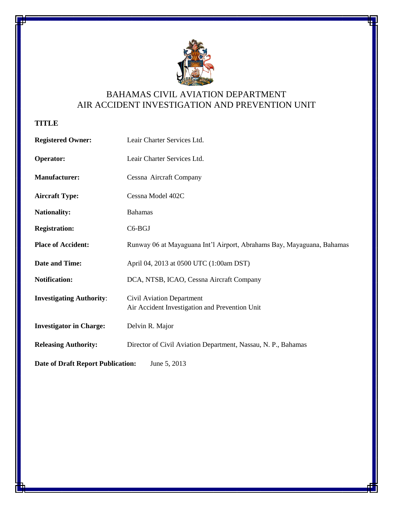

## BAHAMAS CIVIL AVIATION DEPARTMENT AIR ACCIDENT INVESTIGATION AND PREVENTION UNIT

### <span id="page-8-0"></span>**TITLE**

| <b>Registered Owner:</b>                 | Leair Charter Services Ltd.                                                 |  |  |  |  |  |
|------------------------------------------|-----------------------------------------------------------------------------|--|--|--|--|--|
| <b>Operator:</b>                         | Leair Charter Services Ltd.                                                 |  |  |  |  |  |
| <b>Manufacturer:</b>                     | Cessna Aircraft Company                                                     |  |  |  |  |  |
| <b>Aircraft Type:</b>                    | Cessna Model 402C                                                           |  |  |  |  |  |
| <b>Nationality:</b>                      | <b>Bahamas</b>                                                              |  |  |  |  |  |
| <b>Registration:</b>                     | C6-BGJ                                                                      |  |  |  |  |  |
| <b>Place of Accident:</b>                | Runway 06 at Mayaguana Int'l Airport, Abrahams Bay, Mayaguana, Bahamas      |  |  |  |  |  |
| <b>Date and Time:</b>                    | April 04, 2013 at 0500 UTC (1:00am DST)                                     |  |  |  |  |  |
| <b>Notification:</b>                     | DCA, NTSB, ICAO, Cessna Aircraft Company                                    |  |  |  |  |  |
| <b>Investigating Authority:</b>          | Civil Aviation Department<br>Air Accident Investigation and Prevention Unit |  |  |  |  |  |
| <b>Investigator in Charge:</b>           | Delvin R. Major                                                             |  |  |  |  |  |
| <b>Releasing Authority:</b>              | Director of Civil Aviation Department, Nassau, N. P., Bahamas               |  |  |  |  |  |
| <b>Date of Draft Report Publication:</b> | June 5, 2013                                                                |  |  |  |  |  |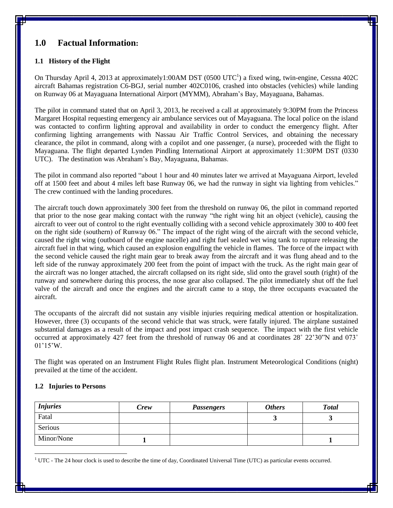### <span id="page-9-0"></span>**1.0 Factual Information:**

#### <span id="page-9-1"></span>**1.1 History of the Flight**

On Thursday April 4, 2013 at approximately1:00AM DST (0500 UTC<sup>1</sup>) a fixed wing, twin-engine, Cessna 402C aircraft Bahamas registration C6-BGJ, serial number 402C0106, crashed into obstacles (vehicles) while landing on Runway 06 at Mayaguana International Airport (MYMM), Abraham's Bay, Mayaguana, Bahamas.

The pilot in command stated that on April 3, 2013, he received a call at approximately 9:30PM from the Princess Margaret Hospital requesting emergency air ambulance services out of Mayaguana. The local police on the island was contacted to confirm lighting approval and availability in order to conduct the emergency flight. After confirming lighting arrangements with Nassau Air Traffic Control Services, and obtaining the necessary clearance, the pilot in command, along with a copilot and one passenger, (a nurse), proceeded with the flight to Mayaguana. The flight departed Lynden Pindling International Airport at approximately 11:30PM DST (0330 UTC). The destination was Abraham's Bay, Mayaguana, Bahamas.

The pilot in command also reported "about 1 hour and 40 minutes later we arrived at Mayaguana Airport, leveled off at 1500 feet and about 4 miles left base Runway 06, we had the runway in sight via lighting from vehicles." The crew continued with the landing procedures.

The aircraft touch down approximately 300 feet from the threshold on runway 06, the pilot in command reported that prior to the nose gear making contact with the runway "the right wing hit an object (vehicle), causing the aircraft to veer out of control to the right eventually colliding with a second vehicle approximately 300 to 400 feet on the right side (southern) of Runway 06." The impact of the right wing of the aircraft with the second vehicle, caused the right wing (outboard of the engine nacelle) and right fuel sealed wet wing tank to rupture releasing the aircraft fuel in that wing, which caused an explosion engulfing the vehicle in flames. The force of the impact with the second vehicle caused the right main gear to break away from the aircraft and it was flung ahead and to the left side of the runway approximately 200 feet from the point of impact with the truck. As the right main gear of the aircraft was no longer attached, the aircraft collapsed on its right side, slid onto the gravel south (right) of the runway and somewhere during this process, the nose gear also collapsed. The pilot immediately shut off the fuel valve of the aircraft and once the engines and the aircraft came to a stop, the three occupants evacuated the aircraft.

The occupants of the aircraft did not sustain any visible injuries requiring medical attention or hospitalization. However, three (3) occupants of the second vehicle that was struck, were fatally injured. The airplane sustained substantial damages as a result of the impact and post impact crash sequence. The impact with the first vehicle occurred at approximately 427 feet from the threshold of runway 06 and at coordinates 28˚ 22'30"N and 073˚ 01'15'W.

The flight was operated on an Instrument Flight Rules flight plan. Instrument Meteorological Conditions (night) prevailed at the time of the accident.

#### <span id="page-9-2"></span>**1.2 Injuries to Persons**

 $\overline{a}$ 

| <i>Injuries</i> | Crew | <b>Passengers</b> | <b>Others</b> | <b>Total</b> |
|-----------------|------|-------------------|---------------|--------------|
| Fatal           |      |                   |               |              |
| Serious         |      |                   |               |              |
| Minor/None      |      |                   |               |              |

 $1$  UTC - The 24 hour clock is used to describe the time of day, Coordinated Universal Time (UTC) as particular events occurred.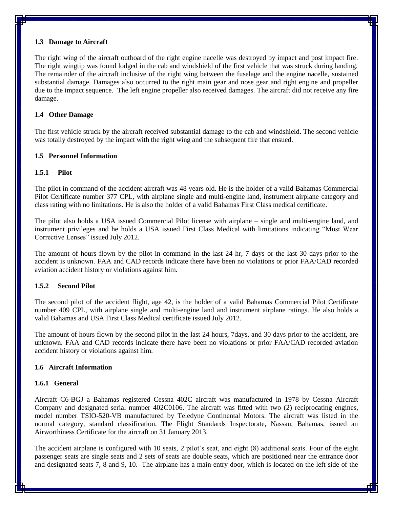#### <span id="page-10-0"></span>**1.3 Damage to Aircraft**

The right wing of the aircraft outboard of the right engine nacelle was destroyed by impact and post impact fire. The right wingtip was found lodged in the cab and windshield of the first vehicle that was struck during landing. The remainder of the aircraft inclusive of the right wing between the fuselage and the engine nacelle, sustained substantial damage. Damages also occurred to the right main gear and nose gear and right engine and propeller due to the impact sequence. The left engine propeller also received damages. The aircraft did not receive any fire damage.

#### <span id="page-10-1"></span>**1.4 Other Damage**

The first vehicle struck by the aircraft received substantial damage to the cab and windshield. The second vehicle was totally destroyed by the impact with the right wing and the subsequent fire that ensued.

#### <span id="page-10-2"></span>**1.5 Personnel Information**

#### <span id="page-10-3"></span>**1.5.1 Pilot**

The pilot in command of the accident aircraft was 48 years old. He is the holder of a valid Bahamas Commercial Pilot Certificate number 377 CPL, with airplane single and multi-engine land, instrument airplane category and class rating with no limitations. He is also the holder of a valid Bahamas First Class medical certificate.

The pilot also holds a USA issued Commercial Pilot license with airplane – single and multi-engine land, and instrument privileges and he holds a USA issued First Class Medical with limitations indicating "Must Wear Corrective Lenses" issued July 2012.

The amount of hours flown by the pilot in command in the last 24 hr, 7 days or the last 30 days prior to the accident is unknown. FAA and CAD records indicate there have been no violations or prior FAA/CAD recorded aviation accident history or violations against him.

#### <span id="page-10-4"></span>**1.5.2 Second Pilot**

The second pilot of the accident flight, age 42, is the holder of a valid Bahamas Commercial Pilot Certificate number 409 CPL, with airplane single and multi-engine land and instrument airplane ratings. He also holds a valid Bahamas and USA First Class Medical certificate issued July 2012.

The amount of hours flown by the second pilot in the last 24 hours, 7days, and 30 days prior to the accident, are unknown. FAA and CAD records indicate there have been no violations or prior FAA/CAD recorded aviation accident history or violations against him.

#### <span id="page-10-5"></span>**1.6 Aircraft Information**

#### <span id="page-10-6"></span>**1.6.1 General**

Aircraft C6-BGJ a Bahamas registered Cessna 402C aircraft was manufactured in 1978 by Cessna Aircraft Company and designated serial number 402C0106. The aircraft was fitted with two (2) reciprocating engines, model number TSIO-520-VB manufactured by Teledyne Continental Motors. The aircraft was listed in the normal category, standard classification. The Flight Standards Inspectorate, Nassau, Bahamas, issued an Airworthiness Certificate for the aircraft on 31 January 2013.

The accident airplane is configured with 10 seats, 2 pilot's seat, and eight (8) additional seats. Four of the eight passenger seats are single seats and 2 sets of seats are double seats, which are positioned near the entrance door and designated seats 7, 8 and 9, 10. The airplane has a main entry door, which is located on the left side of the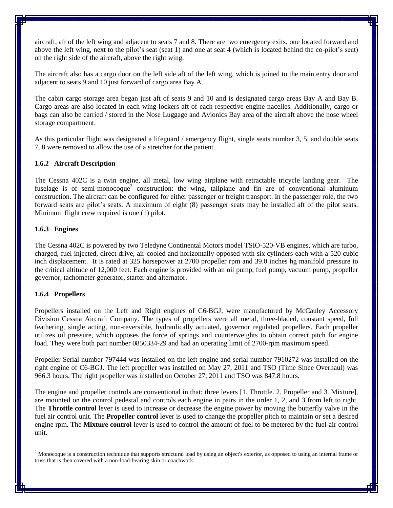aircraft, aft of the left wing and adjacent to seats 7 and 8. There are two emergency exits, one located forward and above the left wing, next to the pilot's seat (seat 1) and one at seat 4 (which is located behind the co-pilot's seat) on the right side of the aircraft, above the right wing.

The aircraft also has a cargo door on the left side aft of the left wing, which is joined to the main entry door and adjacent to seats 9 and 10 just forward of cargo area Bay A.

The cabin cargo storage area began just aft of seats 9 and 10 and is designated cargo areas Bay A and Bay B. Cargo areas are also located in each wing lockers aft of each respective engine nacelles. Additionally, cargo or bags can also be carried / stored in the Nose Luggage and Avionics Bay area of the aircraft above the nose wheel storage compartment.

As this particular flight was designated a lifeguard / emergency flight, single seats number 3, 5, and double seats 7, 8 were removed to allow the use of a stretcher for the patient.

#### <span id="page-11-0"></span>**1.6.2 Aircraft Description**

The Cessna 402C is a twin engine, all metal, low wing airplane with retractable tricycle landing gear. The fuselage is of semi-monocoque<sup>2</sup> construction: the wing, tailplane and fin are of conventional aluminum construction. The aircraft can be configured for either passenger or freight transport. In the passenger role, the two forward seats are pilot's seats. A maximum of eight (8) passenger seats may be installed aft of the pilot seats. Minimum flight crew required is one (1) pilot.

#### <span id="page-11-1"></span>**1.6.3 Engines**

The Cessna 402C is powered by two Teledyne Continental Motors model TSIO-520-VB engines, which are turbo, charged, fuel injected, direct drive, air-cooled and horizontally opposed with six cylinders each with a 520 cubic inch displacement. It is rated at 325 horsepower at 2700 propeller rpm and 39.0 inches hg manifold pressure to the critical altitude of 12,000 feet. Each engine is provided with an oil pump, fuel pump, vacuum pump, propeller governor, tachometer generator, starter and alternator.

#### <span id="page-11-2"></span>**1.6.4 Propellers**

 $\overline{a}$ 

Propellers installed on the Left and Right engines of C6-BGJ, were manufactured by McCauley Accessory Division Cessna Aircraft Company. The types of propellers were all metal, three-bladed, constant speed, full feathering, single acting, non-reversible, hydraulically actuated, governor regulated propellers. Each propeller utilizes oil pressure, which opposes the force of springs and counterweights to obtain correct pitch for engine load. They were both part number 0850334-29 and had an operating limit of 2700-rpm maximum speed.

Propeller Serial number 797444 was installed on the left engine and serial number 7910272 was installed on the right engine of C6-BGJ. The left propeller was installed on May 27, 2011 and TSO (Time Since Overhaul) was 966.3 hours. The right propeller was installed on October 27, 2011 and TSO was 847.8 hours.

The engine and propeller controls are conventional in that; three levers [1. Throttle. 2. Propeller and 3. Mixture], are mounted on the control pedestal and controls each engine in pairs in the order 1, 2, and 3 from left to right. The **Throttle control** lever is used to increase or decrease the engine power by moving the butterfly valve in the fuel air control unit. The **Propeller control** lever is used to change the propeller pitch to maintain or set a desired engine rpm. The **Mixture control** lever is used to control the amount of fuel to be metered by the fuel-air control unit.

<sup>&</sup>lt;sup>2</sup> Monocoque is a construction technique that supports structural load by using an object's exterior, as opposed to using an internal [frame](http://en.wikipedia.org/wiki/Frame_(vehicle)) or [truss](http://en.wikipedia.org/wiki/Truss) that is then covered with a non-load-bearing [skin](http://en.wikipedia.org/wiki/Skin_(aircraft)) or [coachwork.](http://en.wikipedia.org/wiki/Coachwork)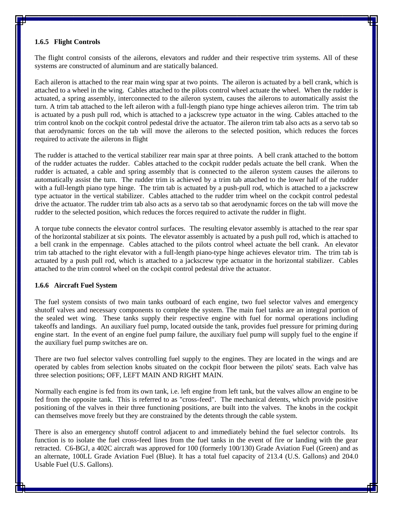#### <span id="page-12-0"></span>**1.6.5 Flight Controls**

The flight control consists of the ailerons, elevators and rudder and their respective trim systems. All of these systems are constructed of aluminum and are statically balanced.

Each aileron is attached to the rear main wing spar at two points. The aileron is actuated by a bell crank, which is attached to a wheel in the wing. Cables attached to the pilots control wheel actuate the wheel. When the rudder is actuated, a spring assembly, interconnected to the aileron system, causes the ailerons to automatically assist the turn. A trim tab attached to the left aileron with a full-length piano type hinge achieves aileron trim. The trim tab is actuated by a push pull rod, which is attached to a jackscrew type actuator in the wing. Cables attached to the trim control knob on the cockpit control pedestal drive the actuator. The aileron trim tab also acts as a servo tab so that aerodynamic forces on the tab will move the ailerons to the selected position, which reduces the forces required to activate the ailerons in flight

The rudder is attached to the vertical stabilizer rear main spar at three points. A bell crank attached to the bottom of the rudder actuates the rudder. Cables attached to the cockpit rudder pedals actuate the bell crank. When the rudder is actuated, a cable and spring assembly that is connected to the aileron system causes the ailerons to automatically assist the turn. The rudder trim is achieved by a trim tab attached to the lower half of the rudder with a full-length piano type hinge. The trim tab is actuated by a push-pull rod, which is attached to a jackscrew type actuator in the vertical stabilizer. Cables attached to the rudder trim wheel on the cockpit control pedestal drive the actuator. The rudder trim tab also acts as a servo tab so that aerodynamic forces on the tab will move the rudder to the selected position, which reduces the forces required to activate the rudder in flight.

A torque tube connects the elevator control surfaces. The resulting elevator assembly is attached to the rear spar of the horizontal stabilizer at six points. The elevator assembly is actuated by a push pull rod, which is attached to a bell crank in the empennage. Cables attached to the pilots control wheel actuate the bell crank. An elevator trim tab attached to the right elevator with a full-length piano-type hinge achieves elevator trim. The trim tab is actuated by a push pull rod, which is attached to a jackscrew type actuator in the horizontal stabilizer. Cables attached to the trim control wheel on the cockpit control pedestal drive the actuator.

#### <span id="page-12-1"></span>**1.6.6 Aircraft Fuel System**

The fuel system consists of two main tanks outboard of each engine, two fuel selector valves and emergency shutoff valves and necessary components to complete the system. The main fuel tanks are an integral portion of the sealed wet wing. These tanks supply their respective engine with fuel for normal operations including takeoffs and landings. An auxiliary fuel pump, located outside the tank, provides fuel pressure for priming during engine start. In the event of an engine fuel pump failure, the auxiliary fuel pump will supply fuel to the engine if the auxiliary fuel pump switches are on.

There are two fuel selector valves controlling fuel supply to the engines. They are located in the wings and are operated by cables from selection knobs situated on the cockpit floor between the pilots' seats. Each valve has three selection positions; OFF, LEFT MAIN AND RIGHT MAIN.

Normally each engine is fed from its own tank, i.e. left engine from left tank, but the valves allow an engine to be fed from the opposite tank. This is referred to as "cross-feed". The mechanical detents, which provide positive positioning of the valves in their three functioning positions, are built into the valves. The knobs in the cockpit can themselves move freely but they are constrained by the detents through the cable system.

There is also an emergency shutoff control adjacent to and immediately behind the fuel selector controls. Its function is to isolate the fuel cross-feed lines from the fuel tanks in the event of fire or landing with the gear retracted. C6-BGJ, a 402C aircraft was approved for 100 (formerly 100/130) Grade Aviation Fuel (Green) and as an alternate, 100LL Grade Aviation Fuel (Blue). It has a total fuel capacity of 213.4 (U.S. Gallons) and 204.0 Usable Fuel (U.S. Gallons).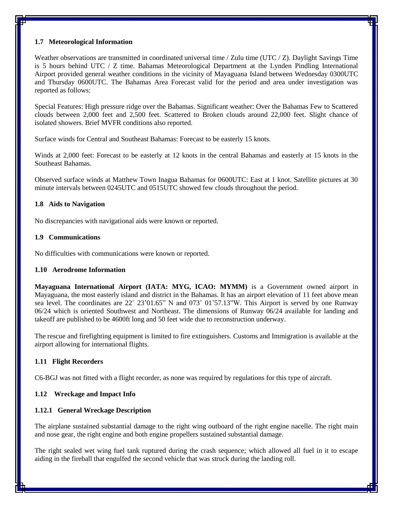#### <span id="page-13-0"></span>**1.7 Meteorological Information**

Weather observations are transmitted in coordinated universal time / Zulu time (UTC / Z). Daylight Savings Time is 5 hours behind UTC / Z time. Bahamas Meteorological Department at the Lynden Pindling International Airport provided general weather conditions in the vicinity of Mayaguana Island between Wednesday 0300UTC and Thursday 0600UTC. The Bahamas Area Forecast valid for the period and area under investigation was reported as follows:

Special Features: High pressure ridge over the Bahamas. Significant weather: Over the Bahamas Few to Scattered clouds between 2,000 feet and 2,500 feet. Scattered to Broken clouds around 22,000 feet. Slight chance of isolated showers. Brief MVFR conditions also reported.

Surface winds for Central and Southeast Bahamas: Forecast to be easterly 15 knots.

Winds at 2,000 feet: Forecast to be easterly at 12 knots in the central Bahamas and easterly at 15 knots in the Southeast Bahamas.

Observed surface winds at Matthew Town Inagua Bahamas for 0600UTC: East at 1 knot. Satellite pictures at 30 minute intervals between 0245UTC and 0515UTC showed few clouds throughout the period.

#### <span id="page-13-1"></span>**1.8 Aids to Navigation**

No discrepancies with navigational aids were known or reported.

#### <span id="page-13-2"></span>**1.9 Communications**

No difficulties with communications were known or reported.

#### <span id="page-13-3"></span>**1.10 Aerodrome Information**

**Mayaguana International Airport (IATA: MYG, ICAO: MYMM)** is a Government owned airport in Mayaguana, the most easterly island and district in the Bahamas. It has an airport elevation of 11 feet above mean sea level. The coordinates are 22˚ 23'01.65" N and 073˚ 01'57.13"W. This Airport is served by one Runway 06/24 which is oriented Southwest and Northeast. The dimensions of Runway 06/24 available for landing and takeoff are published to be 4600ft long and 50 feet wide due to reconstruction underway.

The rescue and firefighting equipment is limited to fire extinguishers. Customs and Immigration is available at the airport allowing for international flights.

#### <span id="page-13-4"></span>**1.11 Flight Recorders**

C6-BGJ was not fitted with a flight recorder, as none was required by regulations for this type of aircraft.

#### <span id="page-13-5"></span>**1.12 Wreckage and Impact Info**

#### <span id="page-13-6"></span>**1.12.1 General Wreckage Description**

The airplane sustained substantial damage to the right wing outboard of the right engine nacelle. The right main and nose gear, the right engine and both engine propellers sustained substantial damage.

The right sealed wet wing fuel tank ruptured during the crash sequence; which allowed all fuel in it to escape aiding in the fireball that engulfed the second vehicle that was struck during the landing roll.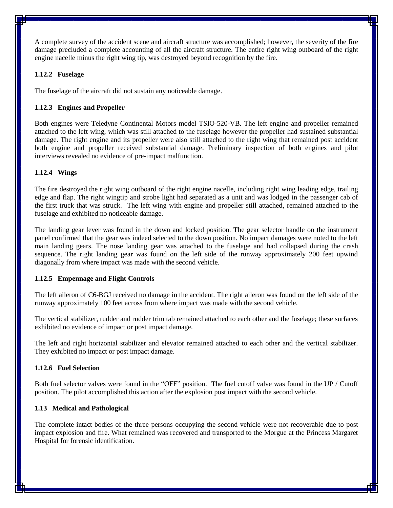A complete survey of the accident scene and aircraft structure was accomplished; however, the severity of the fire damage precluded a complete accounting of all the aircraft structure. The entire right wing outboard of the right engine nacelle minus the right wing tip, was destroyed beyond recognition by the fire.

#### <span id="page-14-0"></span>**1.12.2 Fuselage**

The fuselage of the aircraft did not sustain any noticeable damage.

#### <span id="page-14-1"></span>**1.12.3 Engines and Propeller**

Both engines were Teledyne Continental Motors model TSIO-520-VB. The left engine and propeller remained attached to the left wing, which was still attached to the fuselage however the propeller had sustained substantial damage. The right engine and its propeller were also still attached to the right wing that remained post accident both engine and propeller received substantial damage. Preliminary inspection of both engines and pilot interviews revealed no evidence of pre-impact malfunction.

#### <span id="page-14-2"></span>**1.12.4 Wings**

The fire destroyed the right wing outboard of the right engine nacelle, including right wing leading edge, trailing edge and flap. The right wingtip and strobe light had separated as a unit and was lodged in the passenger cab of the first truck that was struck. The left wing with engine and propeller still attached, remained attached to the fuselage and exhibited no noticeable damage.

The landing gear lever was found in the down and locked position. The gear selector handle on the instrument panel confirmed that the gear was indeed selected to the down position. No impact damages were noted to the left main landing gears. The nose landing gear was attached to the fuselage and had collapsed during the crash sequence. The right landing gear was found on the left side of the runway approximately 200 feet upwind diagonally from where impact was made with the second vehicle.

#### <span id="page-14-3"></span>**1.12.5 Empennage and Flight Controls**

The left aileron of C6-BGJ received no damage in the accident. The right aileron was found on the left side of the runway approximately 100 feet across from where impact was made with the second vehicle.

The vertical stabilizer, rudder and rudder trim tab remained attached to each other and the fuselage; these surfaces exhibited no evidence of impact or post impact damage.

The left and right horizontal stabilizer and elevator remained attached to each other and the vertical stabilizer. They exhibited no impact or post impact damage.

#### <span id="page-14-4"></span>**1.12.6 Fuel Selection**

Both fuel selector valves were found in the "OFF" position. The fuel cutoff valve was found in the UP / Cutoff position. The pilot accomplished this action after the explosion post impact with the second vehicle.

#### <span id="page-14-5"></span>**1.13 Medical and Pathological**

The complete intact bodies of the three persons occupying the second vehicle were not recoverable due to post impact explosion and fire. What remained was recovered and transported to the Morgue at the Princess Margaret Hospital for forensic identification.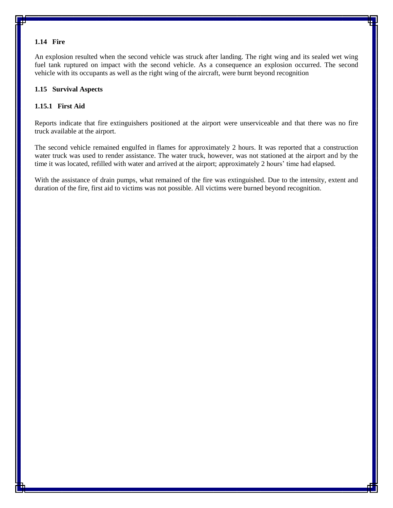#### <span id="page-15-0"></span>**1.14 Fire**

An explosion resulted when the second vehicle was struck after landing. The right wing and its sealed wet wing fuel tank ruptured on impact with the second vehicle. As a consequence an explosion occurred. The second vehicle with its occupants as well as the right wing of the aircraft, were burnt beyond recognition

#### <span id="page-15-1"></span>**1.15 Survival Aspects**

#### <span id="page-15-2"></span>**1.15.1 First Aid**

Reports indicate that fire extinguishers positioned at the airport were unserviceable and that there was no fire truck available at the airport.

The second vehicle remained engulfed in flames for approximately 2 hours. It was reported that a construction water truck was used to render assistance. The water truck, however, was not stationed at the airport and by the time it was located, refilled with water and arrived at the airport; approximately 2 hours' time had elapsed.

With the assistance of drain pumps, what remained of the fire was extinguished. Due to the intensity, extent and duration of the fire, first aid to victims was not possible. All victims were burned beyond recognition.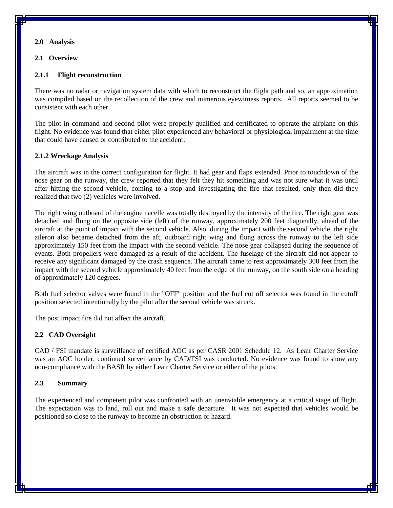#### <span id="page-16-0"></span>**2.0 Analysis**

#### <span id="page-16-1"></span>**2.1 Overview**

#### <span id="page-16-2"></span>**2.1.1 Flight reconstruction**

There was no radar or navigation system data with which to reconstruct the flight path and so, an approximation was compiled based on the recollection of the crew and numerous eyewitness reports. All reports seemed to be consistent with each other.

The pilot in command and second pilot were properly qualified and certificated to operate the airplane on this flight. No evidence was found that either pilot experienced any behavioral or physiological impairment at the time that could have caused or contributed to the accident.

#### <span id="page-16-3"></span>**2.1.2 Wreckage Analysis**

The aircraft was in the correct configuration for flight. It had gear and flaps extended. Prior to touchdown of the nose gear on the runway, the crew reported that they felt they hit something and was not sure what it was until after hitting the second vehicle, coming to a stop and investigating the fire that resulted, only then did they realized that two (2) vehicles were involved.

The right wing outboard of the engine nacelle was totally destroyed by the intensity of the fire. The right gear was detached and flung on the opposite side (left) of the runway, approximately 200 feet diagonally, ahead of the aircraft at the point of impact with the second vehicle. Also, during the impact with the second vehicle, the right aileron also became detached from the aft, outboard right wing and flung across the runway to the left side approximately 150 feet from the impact with the second vehicle. The nose gear collapsed during the sequence of events. Both propellers were damaged as a result of the accident. The fuselage of the aircraft did not appear to receive any significant damaged by the crash sequence. The aircraft came to rest approximately 300 feet from the impact with the second vehicle approximately 40 feet from the edge of the runway, on the south side on a heading of approximately 120 degrees.

Both fuel selector valves were found in the "OFF" position and the fuel cut off selector was found in the cutoff position selected intentionally by the pilot after the second vehicle was struck.

The post impact fire did not affect the aircraft.

#### <span id="page-16-4"></span>**2.2 CAD Oversight**

CAD / FSI mandate is surveillance of certified AOC as per CASR 2001 Schedule 12. As Leair Charter Service was an AOC holder, continued surveillance by CAD/FSI was conducted. No evidence was found to show any non-compliance with the BASR by either Leair Charter Service or either of the pilots.

#### <span id="page-16-5"></span>**2.3 Summary**

The experienced and competent pilot was confronted with an unenviable emergency at a critical stage of flight. The expectation was to land, roll out and make a safe departure. It was not expected that vehicles would be positioned so close to the runway to become an obstruction or hazard.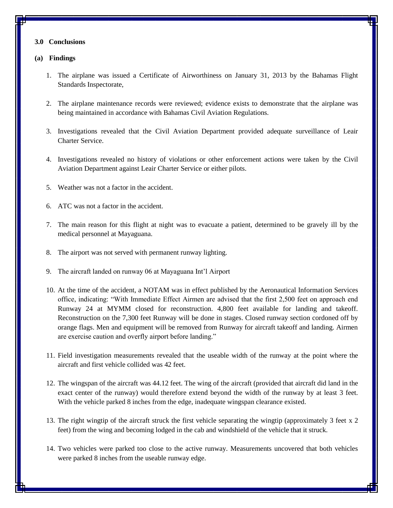#### <span id="page-17-0"></span>**3.0 Conclusions**

#### <span id="page-17-1"></span>**(a) Findings**

- 1. The airplane was issued a Certificate of Airworthiness on January 31, 2013 by the Bahamas Flight Standards Inspectorate,
- 2. The airplane maintenance records were reviewed; evidence exists to demonstrate that the airplane was being maintained in accordance with Bahamas Civil Aviation Regulations.
- 3. Investigations revealed that the Civil Aviation Department provided adequate surveillance of Leair Charter Service.
- 4. Investigations revealed no history of violations or other enforcement actions were taken by the Civil Aviation Department against Leair Charter Service or either pilots.
- 5. Weather was not a factor in the accident.
- 6. ATC was not a factor in the accident.
- 7. The main reason for this flight at night was to evacuate a patient, determined to be gravely ill by the medical personnel at Mayaguana.
- 8. The airport was not served with permanent runway lighting.
- 9. The aircraft landed on runway 06 at Mayaguana Int'l Airport
- 10. At the time of the accident, a NOTAM was in effect published by the Aeronautical Information Services office, indicating: "With Immediate Effect Airmen are advised that the first 2,500 feet on approach end Runway 24 at MYMM closed for reconstruction. 4,800 feet available for landing and takeoff. Reconstruction on the 7,300 feet Runway will be done in stages. Closed runway section cordoned off by orange flags. Men and equipment will be removed from Runway for aircraft takeoff and landing. Airmen are exercise caution and overfly airport before landing."
- 11. Field investigation measurements revealed that the useable width of the runway at the point where the aircraft and first vehicle collided was 42 feet.
- 12. The wingspan of the aircraft was 44.12 feet. The wing of the aircraft (provided that aircraft did land in the exact center of the runway) would therefore extend beyond the width of the runway by at least 3 feet. With the vehicle parked 8 inches from the edge, inadequate wingspan clearance existed.
- 13. The right wingtip of the aircraft struck the first vehicle separating the wingtip (approximately 3 feet x 2 feet) from the wing and becoming lodged in the cab and windshield of the vehicle that it struck.
- 14. Two vehicles were parked too close to the active runway. Measurements uncovered that both vehicles were parked 8 inches from the useable runway edge.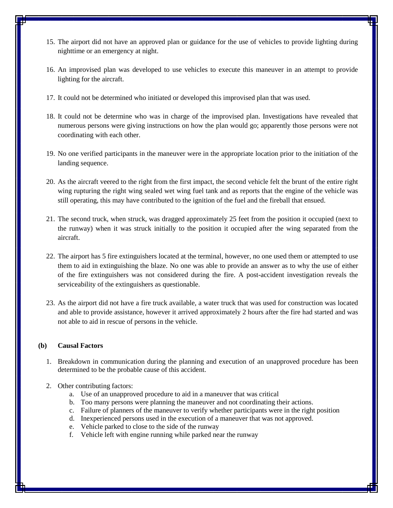- 15. The airport did not have an approved plan or guidance for the use of vehicles to provide lighting during nighttime or an emergency at night.
- 16. An improvised plan was developed to use vehicles to execute this maneuver in an attempt to provide lighting for the aircraft.
- 17. It could not be determined who initiated or developed this improvised plan that was used.
- 18. It could not be determine who was in charge of the improvised plan. Investigations have revealed that numerous persons were giving instructions on how the plan would go; apparently those persons were not coordinating with each other.
- 19. No one verified participants in the maneuver were in the appropriate location prior to the initiation of the landing sequence.
- 20. As the aircraft veered to the right from the first impact, the second vehicle felt the brunt of the entire right wing rupturing the right wing sealed wet wing fuel tank and as reports that the engine of the vehicle was still operating, this may have contributed to the ignition of the fuel and the fireball that ensued.
- 21. The second truck, when struck, was dragged approximately 25 feet from the position it occupied (next to the runway) when it was struck initially to the position it occupied after the wing separated from the aircraft.
- 22. The airport has 5 fire extinguishers located at the terminal, however, no one used them or attempted to use them to aid in extinguishing the blaze. No one was able to provide an answer as to why the use of either of the fire extinguishers was not considered during the fire. A post-accident investigation reveals the serviceability of the extinguishers as questionable.
- 23. As the airport did not have a fire truck available, a water truck that was used for construction was located and able to provide assistance, however it arrived approximately 2 hours after the fire had started and was not able to aid in rescue of persons in the vehicle.

#### <span id="page-18-0"></span>**(b) Causal Factors**

- 1. Breakdown in communication during the planning and execution of an unapproved procedure has been determined to be the probable cause of this accident.
- 2. Other contributing factors:
	- a. Use of an unapproved procedure to aid in a maneuver that was critical
	- b. Too many persons were planning the maneuver and not coordinating their actions.
	- c. Failure of planners of the maneuver to verify whether participants were in the right position
	- d. Inexperienced persons used in the execution of a maneuver that was not approved.
	- e. Vehicle parked to close to the side of the runway
	- f. Vehicle left with engine running while parked near the runway